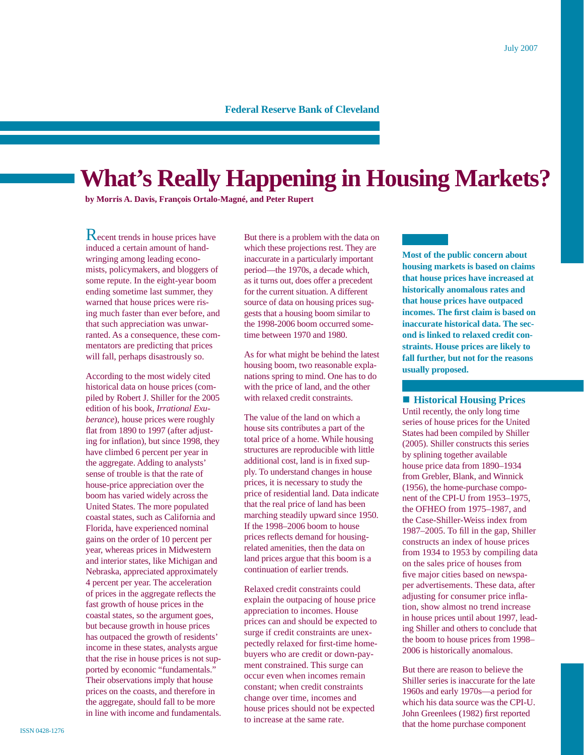# **Federal Reserve Bank of Cleveland**

# **What's Really Happening in Housing Markets?**

**by Morris A. Davis, François Ortalo-Magné, and Peter Rupert**

Recent trends in house prices have induced a certain amount of handwringing among leading economists, policymakers, and bloggers of some repute. In the eight-year boom ending sometime last summer, they warned that house prices were rising much faster than ever before, and that such appreciation was unwarranted. As a consequence, these commentators are predicting that prices will fall, perhaps disastrously so.

According to the most widely cited historical data on house prices (compiled by Robert J. Shiller for the 2005 edition of his book, *Irrational Exuberance*), house prices were roughly flat from 1890 to 1997 (after adjusting for inflation), but since 1998, they have climbed 6 percent per year in the aggregate. Adding to analysts' sense of trouble is that the rate of house-price appreciation over the boom has varied widely across the United States. The more populated coastal states, such as California and Florida, have experienced nominal gains on the order of 10 percent per year, whereas prices in Midwestern and interior states, like Michigan and Nebraska, appreciated approximately 4 percent per year. The acceleration of prices in the aggregate reflects the fast growth of house prices in the coastal states, so the argument goes, but because growth in house prices has outpaced the growth of residents' income in these states, analysts argue that the rise in house prices is not supported by economic "fundamentals." Their observations imply that house prices on the coasts, and therefore in the aggregate, should fall to be more in line with income and fundamentals.

But there is a problem with the data on which these projections rest. They are inaccurate in a particularly important period—the 1970s, a decade which, as it turns out, does offer a precedent for the current situation. A different source of data on housing prices suggests that a housing boom similar to the 1998-2006 boom occurred sometime between 1970 and 1980.

As for what might be behind the latest housing boom, two reasonable explanations spring to mind. One has to do with the price of land, and the other with relaxed credit constraints.

The value of the land on which a house sits contributes a part of the total price of a home. While housing structures are reproducible with little additional cost, land is in fixed supply. To understand changes in house prices, it is necessary to study the price of residential land. Data indicate that the real price of land has been marching steadily upward since 1950. If the 1998–2006 boom to house prices reflects demand for housingrelated amenities, then the data on land prices argue that this boom is a continuation of earlier trends.

Relaxed credit constraints could explain the outpacing of house price appreciation to incomes. House prices can and should be expected to surge if credit constraints are unexpectedly relaxed for first-time homebuyers who are credit or down-payment constrained. This surge can occur even when incomes remain constant; when credit constraints change over time, incomes and house prices should not be expected to increase at the same rate.

**Most of the public concern about housing markets is based on claims that house prices have increased at historically anomalous rates and that house prices have outpaced incomes. The fi rst claim is based on inaccurate historical data. The second is linked to relaxed credit constraints. House prices are likely to fall further, but not for the reasons usually proposed.**

#### **Historical Housing Prices**

Until recently, the only long time series of house prices for the United States had been compiled by Shiller (2005). Shiller constructs this series by splining together available house price data from 1890–1934 from Grebler, Blank, and Winnick (1956), the home-purchase component of the CPI-U from 1953–1975, the OFHEO from 1975–1987, and the Case-Shiller-Weiss index from  $1987-2005$ . To fill in the gap, Shiller constructs an index of house prices from 1934 to 1953 by compiling data on the sales price of houses from five major cities based on newspaper advertisements. These data, after adjusting for consumer price inflation, show almost no trend increase in house prices until about 1997, leading Shiller and others to conclude that the boom to house prices from 1998– 2006 is historically anomalous.

But there are reason to believe the Shiller series is inaccurate for the late 1960s and early 1970s—a period for which his data source was the CPI-U. John Greenlees (1982) first reported that the home purchase component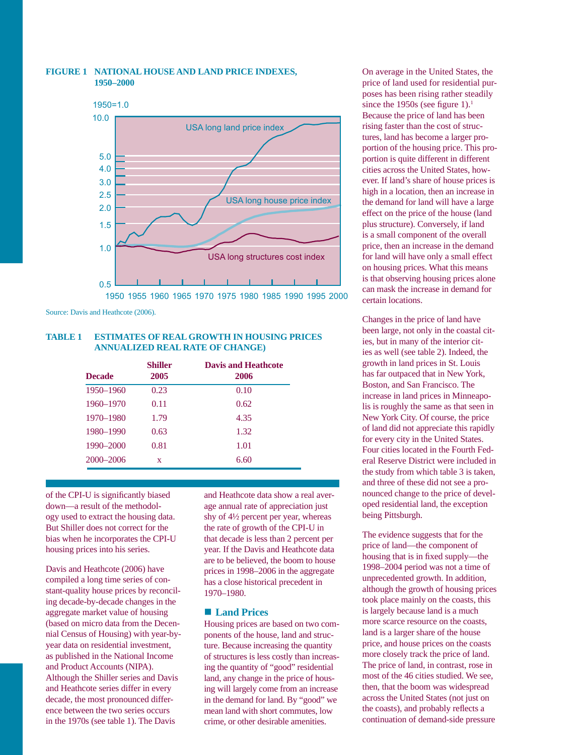#### **FIGURE 1 NATIONAL HOUSE AND LAND PRICE INDEXES, 1950–2000**



1950 1955 1960 1965 1970 1975 1980 1985 1990 1995 2000

Source: Davis and Heathcote (2006).

### **TABLE 1 ESTIMATES OF REAL GROWTH IN HOUSING PRICES ANNUALIZED REAL RATE OF CHANGE)**

| Decade        | <b>Shiller</b><br>2005 | <b>Davis and Heathcote</b><br>2006 |
|---------------|------------------------|------------------------------------|
| 1950–1960     | 0.23                   | 0.10                               |
| 1960–1970     | 0.11                   | 0.62                               |
| 1970–1980     | 1.79                   | 4.35                               |
| 1980–1990     | 0.63                   | 1.32                               |
| 1990–2000     | 0.81                   | 1.01                               |
| $2000 - 2006$ | x                      | 6.60                               |

of the CPI-U is significantly biased down—a result of the methodology used to extract the housing data. But Shiller does not correct for the bias when he incorporates the CPI-U housing prices into his series.

Davis and Heathcote (2006) have compiled a long time series of constant-quality house prices by reconciling decade-by-decade changes in the aggregate market value of housing (based on micro data from the Decennial Census of Housing) with year-byyear data on residential investment, as published in the National Income and Product Accounts (NIPA). Although the Shiller series and Davis and Heathcote series differ in every decade, the most pronounced difference between the two series occurs in the 1970s (see table 1). The Davis

and Heathcote data show a real average annual rate of appreciation just shy of 4½ percent per year, whereas the rate of growth of the CPI-U in that decade is less than 2 percent per year. If the Davis and Heathcote data are to be believed, the boom to house prices in 1998–2006 in the aggregate has a close historical precedent in 1970–1980.

# ■ **Land Prices**

Housing prices are based on two components of the house, land and structure. Because increasing the quantity of structures is less costly than increasing the quantity of "good" residential land, any change in the price of housing will largely come from an increase in the demand for land. By "good" we mean land with short commutes, low crime, or other desirable amenities.

On average in the United States, the price of land used for residential purposes has been rising rather steadily since the 1950s (see figure 1).<sup>1</sup> Because the price of land has been rising faster than the cost of structures, land has become a larger proportion of the housing price. This proportion is quite different in different cities across the United States, however. If land's share of house prices is high in a location, then an increase in the demand for land will have a large effect on the price of the house (land plus structure). Conversely, if land is a small component of the overall price, then an increase in the demand for land will have only a small effect on housing prices. What this means is that observing housing prices alone can mask the increase in demand for certain locations.

Changes in the price of land have been large, not only in the coastal cities, but in many of the interior cities as well (see table 2). Indeed, the growth in land prices in St. Louis has far outpaced that in New York, Boston, and San Francisco. The increase in land prices in Minneapolis is roughly the same as that seen in New York City. Of course, the price of land did not appreciate this rapidly for every city in the United States. Four cities located in the Fourth Federal Reserve District were included in the study from which table 3 is taken, and three of these did not see a pronounced change to the price of developed residential land, the exception being Pittsburgh.

The evidence suggests that for the price of land—the component of housing that is in fixed supply—the 1998–2004 period was not a time of unprecedented growth. In addition, although the growth of housing prices took place mainly on the coasts, this is largely because land is a much more scarce resource on the coasts, land is a larger share of the house price, and house prices on the coasts more closely track the price of land. The price of land, in contrast, rose in most of the 46 cities studied. We see, then, that the boom was widespread across the United States (not just on the coasts), and probably reflects a continuation of demand-side pressure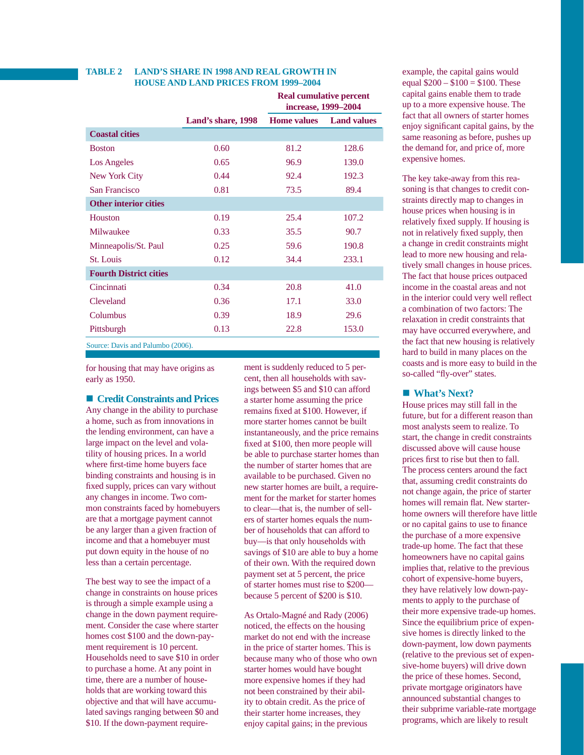#### **TABLE 2 LAND'S SHARE IN 1998 AND REAL GROWTH IN HOUSE AND LAND PRICES FROM 1999–2004**

|                                   |                    | <b>Real cumulative percent</b><br>increase, 1999–2004 |                    |
|-----------------------------------|--------------------|-------------------------------------------------------|--------------------|
|                                   | Land's share, 1998 | <b>Home values</b>                                    | <b>Land values</b> |
| <b>Coastal cities</b>             |                    |                                                       |                    |
| <b>Boston</b>                     | 0.60               | 81.2                                                  | 128.6              |
| Los Angeles                       | 0.65               | 96.9                                                  | 139.0              |
| New York City                     | 0.44               | 92.4                                                  | 192.3              |
| San Francisco                     | 0.81               | 73.5                                                  | 89.4               |
| <b>Other interior cities</b>      |                    |                                                       |                    |
| Houston                           | 0.19               | 25.4                                                  | 107.2              |
| Milwaukee                         | 0.33               | 35.5                                                  | 90.7               |
| Minneapolis/St. Paul              | 0.25               | 59.6                                                  | 190.8              |
| <b>St.</b> Louis                  | 0.12               | 34.4                                                  | 233.1              |
| <b>Fourth District cities</b>     |                    |                                                       |                    |
| Cincinnati                        | 0.34               | 20.8                                                  | 41.0               |
| Cleveland                         | 0.36               | 17.1                                                  | 33.0               |
| Columbus                          | 0.39               | 18.9                                                  | 29.6               |
| Pittsburgh                        | 0.13               | 22.8                                                  | 153.0              |
| Source: Davis and Palumbo (2006). |                    |                                                       |                    |

for housing that may have origins as early as 1950.

#### **Credit Constraints and Prices**

Any change in the ability to purchase a home, such as from innovations in the lending environment, can have a large impact on the level and volatility of housing prices. In a world where first-time home buyers face binding constraints and housing is in fixed supply, prices can vary without any changes in income. Two common constraints faced by homebuyers are that a mortgage payment cannot be any larger than a given fraction of income and that a homebuyer must put down equity in the house of no less than a certain percentage.

The best way to see the impact of a change in constraints on house prices is through a simple example using a change in the down payment requirement. Consider the case where starter homes cost \$100 and the down-payment requirement is 10 percent. Households need to save \$10 in order to purchase a home. At any point in time, there are a number of households that are working toward this objective and that will have accumulated savings ranging between \$0 and \$10. If the down-payment require-

ment is suddenly reduced to 5 percent, then all households with savings between \$5 and \$10 can afford a starter home assuming the price remains fixed at \$100. However, if more starter homes cannot be built instantaneously, and the price remains fixed at \$100, then more people will be able to purchase starter homes than the number of starter homes that are available to be purchased. Given no new starter homes are built, a requirement for the market for starter homes to clear—that is, the number of sellers of starter homes equals the number of households that can afford to buy—is that only households with savings of \$10 are able to buy a home of their own. With the required down payment set at 5 percent, the price of starter homes must rise to \$200 because 5 percent of \$200 is \$10.

As Ortalo-Magné and Rady (2006) noticed, the effects on the housing market do not end with the increase in the price of starter homes. This is because many who of those who own starter homes would have bought more expensive homes if they had not been constrained by their ability to obtain credit. As the price of their starter home increases, they enjoy capital gains; in the previous

example, the capital gains would equal  $$200 - $100 = $100$ . These capital gains enable them to trade up to a more expensive house. The fact that all owners of starter homes enjoy significant capital gains, by the same reasoning as before, pushes up the demand for, and price of, more expensive homes.

The key take-away from this reasoning is that changes to credit constraints directly map to changes in house prices when housing is in relatively fixed supply. If housing is not in relatively fixed supply, then a change in credit constraints might lead to more new housing and relatively small changes in house prices. The fact that house prices outpaced income in the coastal areas and not in the interior could very well reflect a combination of two factors: The relaxation in credit constraints that may have occurred everywhere, and the fact that new housing is relatively hard to build in many places on the coasts and is more easy to build in the so-called "fly-over" states.

## **What's Next?**

House prices may still fall in the future, but for a different reason than most analysts seem to realize. To start, the change in credit constraints discussed above will cause house prices first to rise but then to fall. The process centers around the fact that, assuming credit constraints do not change again, the price of starter homes will remain flat. New starterhome owners will therefore have little or no capital gains to use to finance the purchase of a more expensive trade-up home. The fact that these homeowners have no capital gains implies that, relative to the previous cohort of expensive-home buyers, they have relatively low down-payments to apply to the purchase of their more expensive trade-up homes. Since the equilibrium price of expensive homes is directly linked to the down-payment, low down payments (relative to the previous set of expensive-home buyers) will drive down the price of these homes. Second, private mortgage originators have announced substantial changes to their subprime variable-rate mortgage programs, which are likely to result